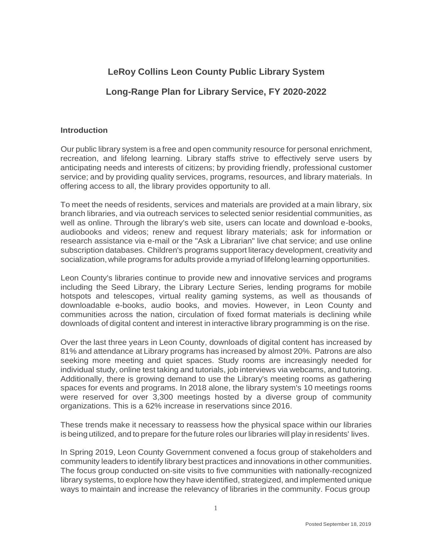# **LeRoy Collins Leon County Public Library System**

## **Long-Range Plan for Library Service, FY 2020-2022**

## **Introduction**

Our public library system is a free and open community resource for personal enrichment, recreation, and lifelong learning. Library staffs strive to effectively serve users by anticipating needs and interests of citizens; by providing friendly, professional customer service; and by providing quality services, programs, resources, and library materials. In offering access to all, the library provides opportunity to all.

To meet the needs of residents, services and materials are provided at a main library, six branch libraries, and via outreach services to selected senior residential communities, as well as online. Through the library's web site, users can locate and download e-books, audiobooks and videos; renew and request library materials; ask for information or research assistance via e-mail or the "Ask a Librarian" live chat service; and use online subscription databases. Children's programs support literacy development, creativity and socialization,while programs for adults provide a myriad of lifelong learning opportunities.

Leon County's libraries continue to provide new and innovative services and programs including the Seed Library, the Library Lecture Series, lending programs for mobile hotspots and telescopes, virtual reality gaming systems, as well as thousands of downloadable e-books, audio books, and movies. However, in Leon County and communities across the nation, circulation of fixed format materials is declining while downloads of digital content and interest in interactive library programming is on the rise.

Over the last three years in Leon County, downloads of digital content has increased by 81% and attendance at Library programs has increased by almost 20%. Patrons are also seeking more meeting and quiet spaces. Study rooms are increasingly needed for individual study, online test taking and tutorials, job interviews via webcams, and tutoring. Additionally, there is growing demand to use the Library's meeting rooms as gathering spaces for events and programs. In 2018 alone, the library system's 10 meetings rooms were reserved for over 3,300 meetings hosted by a diverse group of community organizations. This is a 62% increase in reservations since 2016.

These trends make it necessary to reassess how the physical space within our libraries is being utilized, and to prepare forthe future roles ourlibraries will play inresidents' lives.

In Spring 2019, Leon County Government convened a focus group of stakeholders and community leaders to identify library best practices and innovations in other communities. The focus group conducted on-site visits to five communities with nationally-recognized library systems, to explore how they have identified, strategized, and implemented unique ways to maintain and increase the relevancy of libraries in the community. Focus group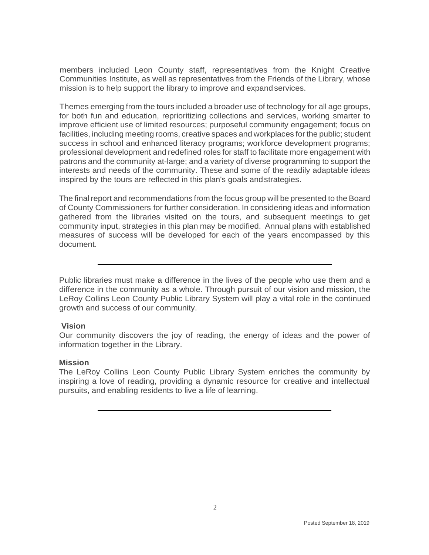members included Leon County staff, representatives from the Knight Creative Communities Institute, as well as representatives from the Friends of the Library, whose mission is to help support the library to improve and expandservices.

Themes emerging from the tours included a broader use of technology for all age groups, for both fun and education, reprioritizing collections and services, working smarter to improve efficient use of limited resources; purposeful community engagement; focus on facilities, including meeting rooms, creative spaces and workplaces forthe public; student success in school and enhanced literacy programs; workforce development programs; professional development and redefined roles for staff to facilitate more engagement with patrons and the community at-large; and a variety of diverse programming to support the interests and needs of the community. These and some of the readily adaptable ideas inspired by the tours are reflected in this plan's goals andstrategies.

The final report and recommendations from the focus group will be presented to the Board of County Commissioners for further consideration. In considering ideas and information gathered from the libraries visited on the tours, and subsequent meetings to get community input, strategies in this plan may be modified. Annual plans with established measures of success will be developed for each of the years encompassed by this document.

Public libraries must make a difference in the lives of the people who use them and a difference in the community as a whole. Through pursuit of our vision and mission, the LeRoy Collins Leon County Public Library System will play a vital role in the continued growth and success of our community.

#### **Vision**

Our community discovers the joy of reading, the energy of ideas and the power of information together in the Library.

## **Mission**

The LeRoy Collins Leon County Public Library System enriches the community by inspiring a love of reading, providing a dynamic resource for creative and intellectual pursuits, and enabling residents to live a life of learning.